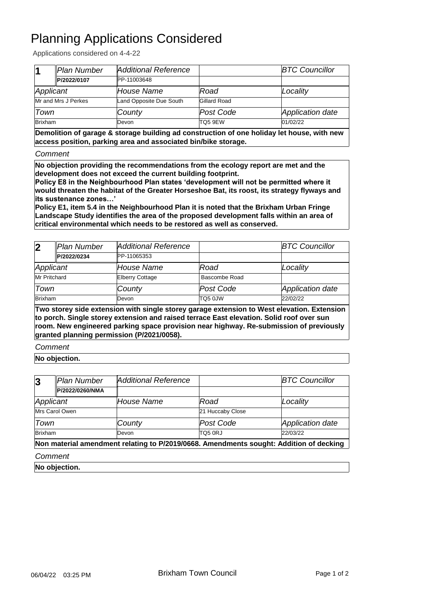## Planning Applications Considered

Applications considered on 4-4-22

| 11                  | Plan Number | <b>Additional Reference</b> |                     | <b>BTC Councillor</b> |
|---------------------|-------------|-----------------------------|---------------------|-----------------------|
|                     | P/2022/0107 | <b>PP-11003648</b>          |                     |                       |
| Applicant           |             | House Name                  | Road                | Locality              |
| Mr and Mrs J Perkes |             | Land Opposite Due South     | Gillard Road        |                       |
| Town                |             | County                      | Post Code           | Application date      |
| <b>Brixham</b>      |             | Devon                       | TO <sub>5</sub> 9EW | 01/02/22              |

**Demolition of garage & storage building ad construction of one holiday let house, with new access position, parking area and associated bin/bike storage.**

*Comment*

**No objection providing the recommendations from the ecology report are met and the development does not exceed the current building footprint.**

**Policy E8 in the Neighbourhood Plan states 'development will not be permitted where it would threaten the habitat of the Greater Horseshoe Bat, its roost, its strategy flyways and its sustenance zones…'** 

**Policy E1, item 5.4 in the Neighbourhood Plan it is noted that the Brixham Urban Fringe Landscape Study identifies the area of the proposed development falls within an area of critical environmental which needs to be restored as well as conserved.**

| $\overline{2}$                                                                                                                                                                         | Plan Number | Additional Reference   |               | <b>BTC Councillor</b> |  |
|----------------------------------------------------------------------------------------------------------------------------------------------------------------------------------------|-------------|------------------------|---------------|-----------------------|--|
|                                                                                                                                                                                        | P/2022/0234 | PP-11065353            |               |                       |  |
| Applicant                                                                                                                                                                              |             | House Name             | Road          | Locality              |  |
| <b>Mr Pritchard</b>                                                                                                                                                                    |             | <b>Elberry Cottage</b> | Bascombe Road |                       |  |
| Town                                                                                                                                                                                   |             | County                 | Post Code     | Application date      |  |
| <b>Brixham</b>                                                                                                                                                                         |             | Devon                  | TQ5 0JW       | 22/02/22              |  |
| Two storey side extension with single storey garage extension to West elevation. Extension<br>to porch. Single storey extension and raised terrace East elevation. Solid roof over sun |             |                        |               |                       |  |

**room. New engineered parking space provision near highway. Re-submission of previously granted planning permission (P/2021/0058).**

*Comment*

**No objection.**

| $\bf{3}$       | Plan Number     | Additional Reference                                                                   |                  | <b>BTC Councillor</b> |
|----------------|-----------------|----------------------------------------------------------------------------------------|------------------|-----------------------|
|                | P/2022/0260/NMA |                                                                                        |                  |                       |
| Applicant      |                 | <b>House Name</b>                                                                      | Road             | Locality              |
| Mrs Carol Owen |                 |                                                                                        | 21 Huccaby Close |                       |
| Town           |                 | County                                                                                 | Post Code        | Application date      |
| <b>Brixham</b> |                 | Devon                                                                                  | TQ5 0RJ          | 22/03/22              |
|                |                 | Non material amendment relating to P/2019/0668. Amendments sought: Addition of decking |                  |                       |
| Comment        |                 |                                                                                        |                  |                       |

**No objection.**